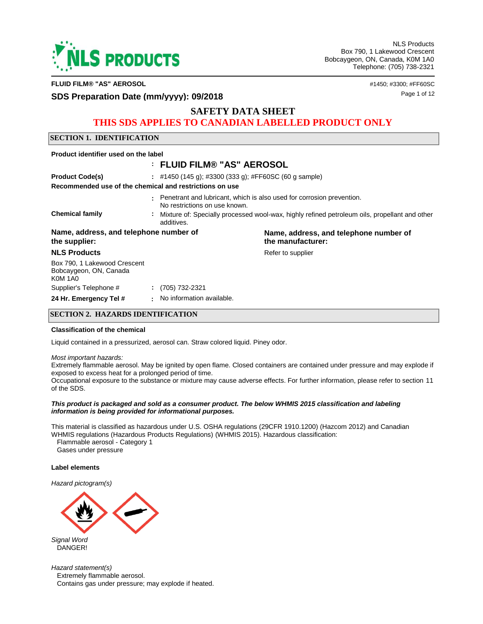

**FLUID FILM® "AS" AEROSOL** #1450; #3300; #FF60SC

# **SDS Preparation Date (mm/yyyy): 09/2018** and the contract of the state of the state of the state of the state of the state of the state of the state of the state of the state of the state of the state of the state of the

# **SAFETY DATA SHEET**

# **THIS SDS APPLIES TO CANADIAN LABELLED PRODUCT ONLY**

### **SECTION 1. IDENTIFICATION**

| Product identifier used on the label                                     |                                                       |                                                                                               |  |  |  |
|--------------------------------------------------------------------------|-------------------------------------------------------|-----------------------------------------------------------------------------------------------|--|--|--|
|                                                                          | : FLUID FILM® "AS" AEROSOL                            |                                                                                               |  |  |  |
| <b>Product Code(s)</b>                                                   | : #1450 (145 g); #3300 (333 g); #FF60SC (60 g sample) |                                                                                               |  |  |  |
| Recommended use of the chemical and restrictions on use                  |                                                       |                                                                                               |  |  |  |
|                                                                          | ٠.<br>No restrictions on use known.                   | Penetrant and lubricant, which is also used for corrosion prevention.                         |  |  |  |
| <b>Chemical family</b>                                                   | ÷<br>additives.                                       | Mixture of: Specially processed wool-wax, highly refined petroleum oils, propellant and other |  |  |  |
| Name, address, and telephone number of<br>the supplier:                  |                                                       | Name, address, and telephone number of<br>the manufacturer:                                   |  |  |  |
| <b>NLS Products</b>                                                      |                                                       | Refer to supplier                                                                             |  |  |  |
| Box 790, 1 Lakewood Crescent<br>Bobcaygeon, ON, Canada<br><b>K0M 1A0</b> |                                                       |                                                                                               |  |  |  |
| Supplier's Telephone #                                                   | $: (705) 732 - 2321$                                  |                                                                                               |  |  |  |
| 24 Hr. Emergency Tel #                                                   | No information available.<br>٠.                       |                                                                                               |  |  |  |

### **SECTION 2. HAZARDS IDENTIFICATION**

#### **Classification of the chemical**

Liquid contained in a pressurized, aerosol can. Straw colored liquid. Piney odor.

#### *Most important hazards:*

Extremely flammable aerosol. May be ignited by open flame. Closed containers are contained under pressure and may explode if exposed to excess heat for a prolonged period of time.

Occupational exposure to the substance or mixture may cause adverse effects. For further information, please refer to section 11 of the SDS.

#### *This product is packaged and sold as a consumer product. The below WHMIS 2015 classification and labeling information is being provided for informational purposes.*

This material is classified as hazardous under U.S. OSHA regulations (29CFR 1910.1200) (Hazcom 2012) and Canadian WHMIS regulations (Hazardous Products Regulations) (WHMIS 2015). Hazardous classification:

 Flammable aerosol - Category 1 Gases under pressure

#### **Label elements**

*Hazard pictogram(s)*



*Signal Word* DANGER!

*Hazard statement(s)* Extremely flammable aerosol. Contains gas under pressure; may explode if heated.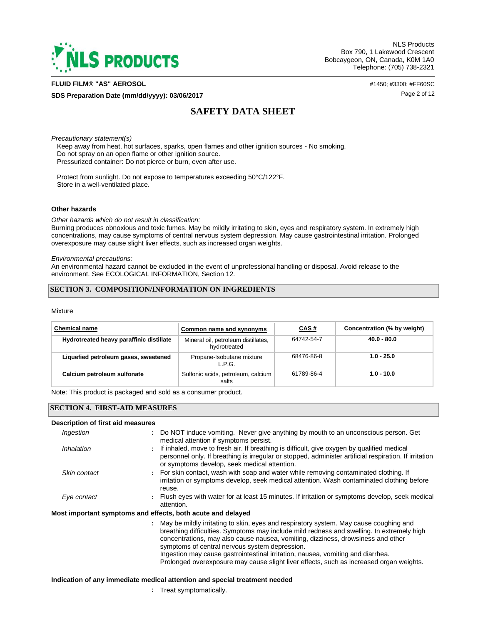

#### **FLUID FILM® "AS" AEROSOL** #1450; #3300; #FF60SC

**SDS Preparation Date (mm/dd/yyyy): 03/06/2017** Page 2 of 12

# **SAFETY DATA SHEET**

*Precautionary statement(s)*

 Keep away from heat, hot surfaces, sparks, open flames and other ignition sources - No smoking. Do not spray on an open flame or other ignition source. Pressurized container: Do not pierce or burn, even after use.

 Protect from sunlight. Do not expose to temperatures exceeding 50°C/122°F. Store in a well-ventilated place.

#### **Other hazards**

*Other hazards which do not result in classification:* 

Burning produces obnoxious and toxic fumes. May be mildly irritating to skin, eyes and respiratory system. In extremely high concentrations, may cause symptoms of central nervous system depression. May cause gastrointestinal irritation. Prolonged overexposure may cause slight liver effects, such as increased organ weights.

*Environmental precautions:* 

An environmental hazard cannot be excluded in the event of unprofessional handling or disposal. Avoid release to the environment. See ECOLOGICAL INFORMATION, Section 12.

### **SECTION 3. COMPOSITION/INFORMATION ON INGREDIENTS**

#### Mixture

| <b>Chemical name</b>                     | Common name and synonyms                            | CAS#       | Concentration (% by weight) |
|------------------------------------------|-----------------------------------------------------|------------|-----------------------------|
| Hydrotreated heavy paraffinic distillate | Mineral oil, petroleum distillates,<br>hydrotreated | 64742-54-7 | $40.0 - 80.0$               |
| Liquefied petroleum gases, sweetened     | Propane-Isobutane mixture<br>LPG.                   | 68476-86-8 | $1.0 - 25.0$                |
| Calcium petroleum sulfonate              | Sulfonic acids, petroleum, calcium<br>salts         | 61789-86-4 | $1.0 - 10.0$                |

Note: This product is packaged and sold as a consumer product.

### **SECTION 4. FIRST-AID MEASURES**

#### **Description of first aid measures**

| Ingestion    | : Do NOT induce vomiting. Never give anything by mouth to an unconscious person. Get<br>medical attention if symptoms persist.                                                                                                                                           |
|--------------|--------------------------------------------------------------------------------------------------------------------------------------------------------------------------------------------------------------------------------------------------------------------------|
| Inhalation   | If inhaled, move to fresh air. If breathing is difficult, give oxygen by qualified medical<br>personnel only. If breathing is irregular or stopped, administer artificial respiration. If irritation<br>or symptoms develop, seek medical attention.                     |
| Skin contact | : For skin contact, wash with soap and water while removing contaminated clothing. If<br>irritation or symptoms develop, seek medical attention. Wash contaminated clothing before<br>reuse.                                                                             |
| Eye contact  | : Flush eyes with water for at least 15 minutes. If irritation or symptoms develop, seek medical<br>attention.                                                                                                                                                           |
|              | Most important symptoms and effects, both acute and delayed                                                                                                                                                                                                              |
|              | : May be mildly irritating to skin, eyes and respiratory system. May cause coughing and<br>breathing difficulties. Symptoms may include mild redness and swelling. In extremely high<br>concentrations, may also cause nausea, vomiting, dizziness, drowsiness and other |

symptoms of central nervous system depression. Ingestion may cause gastrointestinal irritation, nausea, vomiting and diarrhea. Prolonged overexposure may cause slight liver effects, such as increased organ weights.

#### **Indication of any immediate medical attention and special treatment needed**

**:** Treat symptomatically.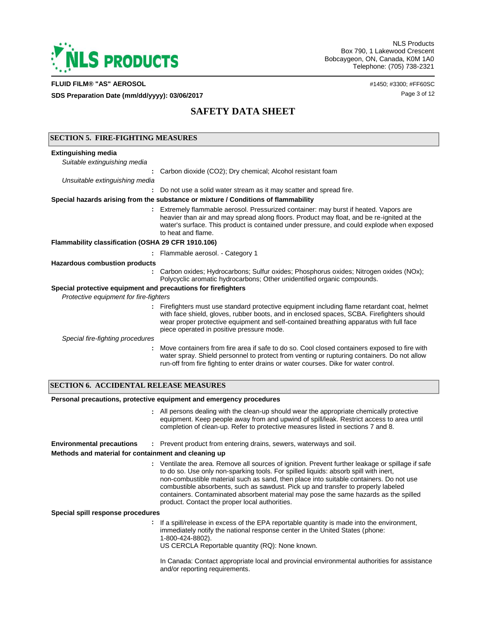

#### **FLUID FILM® "AS" AEROSOL** #1450; #3300; #FF60SC

**SDS Preparation Date (mm/dd/yyyy): 03/06/2017 Page 3 of 12** 

# **SAFETY DATA SHEET**

|                                                               | <b>SECTION 5. FIRE-FIGHTING MEASURES</b>                                                                                                                                                                                                                                                                                         |  |  |  |
|---------------------------------------------------------------|----------------------------------------------------------------------------------------------------------------------------------------------------------------------------------------------------------------------------------------------------------------------------------------------------------------------------------|--|--|--|
| <b>Extinguishing media</b>                                    |                                                                                                                                                                                                                                                                                                                                  |  |  |  |
| Suitable extinguishing media                                  |                                                                                                                                                                                                                                                                                                                                  |  |  |  |
|                                                               | Carbon dioxide (CO2); Dry chemical; Alcohol resistant foam                                                                                                                                                                                                                                                                       |  |  |  |
| Unsuitable extinguishing media                                |                                                                                                                                                                                                                                                                                                                                  |  |  |  |
|                                                               | Do not use a solid water stream as it may scatter and spread fire.                                                                                                                                                                                                                                                               |  |  |  |
|                                                               | Special hazards arising from the substance or mixture / Conditions of flammability                                                                                                                                                                                                                                               |  |  |  |
|                                                               | : Extremely flammable aerosol. Pressurized container: may burst if heated. Vapors are<br>heavier than air and may spread along floors. Product may float, and be re-ignited at the<br>water's surface. This product is contained under pressure, and could explode when exposed<br>to heat and flame.                            |  |  |  |
| Flammability classification (OSHA 29 CFR 1910.106)            |                                                                                                                                                                                                                                                                                                                                  |  |  |  |
|                                                               | : Flammable aerosol. - Category 1                                                                                                                                                                                                                                                                                                |  |  |  |
| <b>Hazardous combustion products</b>                          |                                                                                                                                                                                                                                                                                                                                  |  |  |  |
|                                                               | Carbon oxides; Hydrocarbons; Sulfur oxides; Phosphorus oxides; Nitrogen oxides (NOx);<br>Polycyclic aromatic hydrocarbons; Other unidentified organic compounds.                                                                                                                                                                 |  |  |  |
| Special protective equipment and precautions for firefighters |                                                                                                                                                                                                                                                                                                                                  |  |  |  |
| Protective equipment for fire-fighters                        |                                                                                                                                                                                                                                                                                                                                  |  |  |  |
|                                                               | : Firefighters must use standard protective equipment including flame retardant coat, helmet<br>with face shield, gloves, rubber boots, and in enclosed spaces, SCBA. Firefighters should<br>wear proper protective equipment and self-contained breathing apparatus with full face<br>piece operated in positive pressure mode. |  |  |  |
| Special fire-fighting procedures                              |                                                                                                                                                                                                                                                                                                                                  |  |  |  |
|                                                               | Move containers from fire area if safe to do so. Cool closed containers exposed to fire with<br>water spray. Shield personnel to protect from venting or rupturing containers. Do not allow<br>run-off from fire fighting to enter drains or water courses. Dike for water control.                                              |  |  |  |

### **SECTION 6. ACCIDENTAL RELEASE MEASURES**

### **Personal precautions, protective equipment and emergency procedures**

All persons dealing with the clean-up should wear the appropriate chemically protective **:** equipment. Keep people away from and upwind of spill/leak. Restrict access to area until completion of clean-up. Refer to protective measures listed in sections 7 and 8.

**Environmental precautions :** Prevent product from entering drains, sewers, waterways and soil.

### **Methods and material for containment and cleaning up**

Ventilate the area. Remove all sources of ignition. Prevent further leakage or spillage if safe **:** to do so. Use only non-sparking tools. For spilled liquids: absorb spill with inert, non-combustible material such as sand, then place into suitable containers. Do not use combustible absorbents, such as sawdust. Pick up and transfer to properly labeled containers. Contaminated absorbent material may pose the same hazards as the spilled product. Contact the proper local authorities.

**Special spill response procedures**

**:** If a spill/release in excess of the EPA reportable quantity is made into the environment, immediately notify the national response center in the United States (phone: 1-800-424-8802).

US CERCLA Reportable quantity (RQ): None known.

In Canada: Contact appropriate local and provincial environmental authorities for assistance and/or reporting requirements.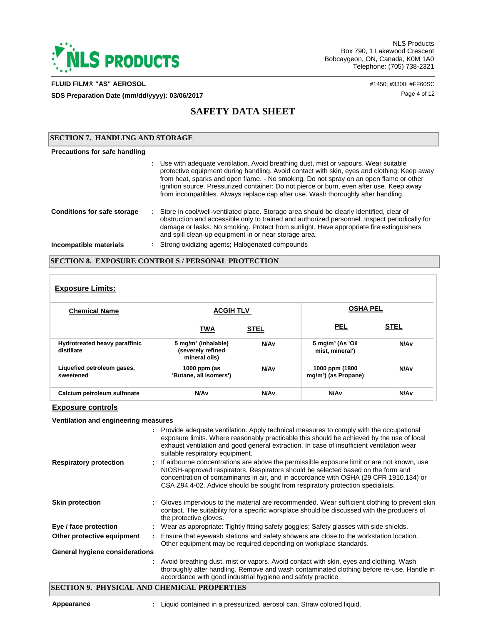

### **FLUID FILM® "AS" AEROSOL** #1450; #3300; #FF60SC

**SDS Preparation Date (mm/dd/yyyy): 03/06/2017 Page 4 of 12** 

Keep away

# **SAFETY DATA SHEET**

| <b>ISECTION 7. HANDLING AND STORAGE</b> |  |                                                                                                                                                                                                                                                                                                                                                                                                                                                                 |  |
|-----------------------------------------|--|-----------------------------------------------------------------------------------------------------------------------------------------------------------------------------------------------------------------------------------------------------------------------------------------------------------------------------------------------------------------------------------------------------------------------------------------------------------------|--|
| Precautions for safe handling           |  |                                                                                                                                                                                                                                                                                                                                                                                                                                                                 |  |
|                                         |  | : Use with adequate ventilation. Avoid breathing dust, mist or vapours. Wear suitable<br>protective equipment during handling. Avoid contact with skin, eyes and clothing. Keep away<br>from heat, sparks and open flame. - No smoking. Do not spray on an open flame or other<br>ignition source. Pressurized container: Do not pierce or burn, even after use. Keep away<br>from incompatibles. Always replace cap after use. Wash thoroughly after handling. |  |
| <b>Conditions for safe storage</b>      |  | : Store in cool/well-ventilated place. Storage area should be clearly identified, clear of<br>obstruction and accessible only to trained and authorized personnel. Inspect periodically for<br>damage or leaks. No smoking. Protect from sunlight. Have appropriate fire extinguishers<br>and spill clean-up equipment in or near storage area.                                                                                                                 |  |
| Incompatible materials                  |  | : Strong oxidizing agents; Halogenated compounds                                                                                                                                                                                                                                                                                                                                                                                                                |  |

## **SECTION 8. EXPOSURE CONTROLS / PERSONAL PROTECTION**

| <b>Exposure Limits:</b>                     |                                                                       |                  |                                                    |                  |
|---------------------------------------------|-----------------------------------------------------------------------|------------------|----------------------------------------------------|------------------|
| <b>Chemical Name</b>                        | <b>ACGIH TLV</b>                                                      |                  | <b>OSHA PEL</b>                                    |                  |
|                                             | <b>TWA</b>                                                            | <b>STEL</b>      | <b>PEL</b>                                         | <b>STEL</b>      |
| Hydrotreated heavy paraffinic<br>distillate | 5 mg/m <sup>3</sup> (inhalable)<br>(severely refined<br>mineral oils) | N/A <sub>v</sub> | 5 mg/m <sup>3</sup> (As 'Oil<br>mist, mineral')    | N/A <sub>v</sub> |
| Liquefied petroleum gases,<br>sweetened     | 1000 ppm (as<br>'Butane, all isomers')                                | N/A <sub>v</sub> | 1000 ppm (1800<br>mg/m <sup>3</sup> ) (as Propane) | N/A <sub>v</sub> |
| Calcium petroleum sulfonate                 | N/A <sub>v</sub>                                                      | N/A <sub>v</sub> | N/A <sub>v</sub>                                   | N/A <sub>v</sub> |

### **Exposure controls**

### **Ventilation and engineering measures**

|                                       | : Provide adequate ventilation. Apply technical measures to comply with the occupational<br>exposure limits. Where reasonably practicable this should be achieved by the use of local<br>exhaust ventilation and good general extraction. In case of insufficient ventilation wear<br>suitable respiratory equipment.                                        |
|---------------------------------------|--------------------------------------------------------------------------------------------------------------------------------------------------------------------------------------------------------------------------------------------------------------------------------------------------------------------------------------------------------------|
| <b>Respiratory protection</b>         | : If airbourne concentrations are above the permissible exposure limit or are not known, use<br>NIOSH-approved respirators. Respirators should be selected based on the form and<br>concentration of contaminants in air, and in accordance with OSHA (29 CFR 1910.134) or<br>CSA Z94.4-02. Advice should be sought from respiratory protection specialists. |
| <b>Skin protection</b>                | Gloves impervious to the material are recommended. Wear sufficient clothing to prevent skin<br>contact. The suitability for a specific workplace should be discussed with the producers of<br>the protective gloves.                                                                                                                                         |
| Eye / face protection                 | : Wear as appropriate: Tightly fitting safety goggles; Safety glasses with side shields.                                                                                                                                                                                                                                                                     |
| Other protective equipment            | Ensure that eyewash stations and safety showers are close to the workstation location.<br>Other equipment may be required depending on workplace standards.                                                                                                                                                                                                  |
| <b>General hygiene considerations</b> |                                                                                                                                                                                                                                                                                                                                                              |
|                                       | : Avoid breathing dust, mist or vapors. Avoid contact with skin, eyes and clothing. Wash<br>thoroughly after handling. Remove and wash contaminated clothing before re-use. Handle in<br>accordance with good industrial hygiene and safety practice.                                                                                                        |

## **SECTION 9. PHYSICAL AND CHEMICAL PROPERTIES**

**Appearance :** Liquid contained in a pressurized, aerosol can. Straw colored liquid.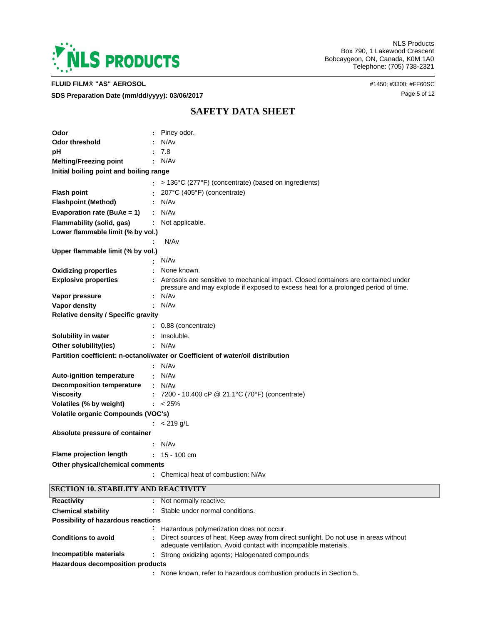

**FLUID FILM® "AS" AEROSOL** #1450; #3300; #FF60SC

**SDS Preparation Date (mm/dd/yyyy): 03/06/2017 Page 5 of 12 Page 5 of 12** 

NLS Products Box 790, 1 Lakewood Crescent Bobcaygeon, ON, Canada, K0M 1A0 Telephone: (705) 738-2321

# **SAFETY DATA SHEET**

| Odor                                       |   | Piney odor.                                                                                                                                                              |
|--------------------------------------------|---|--------------------------------------------------------------------------------------------------------------------------------------------------------------------------|
| Odor threshold                             |   | N/Av                                                                                                                                                                     |
|                                            |   | 7.8                                                                                                                                                                      |
| рH                                         |   | N/Av                                                                                                                                                                     |
| <b>Melting/Freezing point</b>              |   |                                                                                                                                                                          |
| Initial boiling point and boiling range    |   |                                                                                                                                                                          |
|                                            |   | > 136°C (277°F) (concentrate) (based on ingredients)                                                                                                                     |
| <b>Flash point</b>                         |   | 207°C (405°F) (concentrate)                                                                                                                                              |
| <b>Flashpoint (Method)</b>                 |   | : N/Av                                                                                                                                                                   |
| Evaporation rate (BuAe = 1)                |   | : N/Av                                                                                                                                                                   |
| Flammability (solid, gas)                  | ÷ | Not applicable.                                                                                                                                                          |
| Lower flammable limit (% by vol.)          |   |                                                                                                                                                                          |
|                                            |   | N/Av                                                                                                                                                                     |
| Upper flammable limit (% by vol.)          |   |                                                                                                                                                                          |
|                                            |   | N/Av                                                                                                                                                                     |
| <b>Oxidizing properties</b>                |   | None known.                                                                                                                                                              |
| <b>Explosive properties</b>                |   | Aerosols are sensitive to mechanical impact. Closed containers are contained under<br>pressure and may explode if exposed to excess heat for a prolonged period of time. |
| Vapor pressure                             |   | N/Av                                                                                                                                                                     |
| Vapor density                              |   | N/Av                                                                                                                                                                     |
| <b>Relative density / Specific gravity</b> |   |                                                                                                                                                                          |
|                                            |   | 0.88 (concentrate)                                                                                                                                                       |
| <b>Solubility in water</b>                 |   | Insoluble.                                                                                                                                                               |
| Other solubility(ies)                      |   | N/Av                                                                                                                                                                     |
|                                            |   | Partition coefficient: n-octanol/water or Coefficient of water/oil distribution                                                                                          |
|                                            |   | N/Av                                                                                                                                                                     |
| <b>Auto-ignition temperature</b>           |   | $\cdot$ N/Av                                                                                                                                                             |
| <b>Decomposition temperature</b>           |   | : N/Av                                                                                                                                                                   |
| <b>Viscosity</b>                           | ÷ | 7200 - 10,400 cP @ 21.1°C (70°F) (concentrate)                                                                                                                           |
| Volatiles (% by weight)                    |   | $: < 25\%$                                                                                                                                                               |
| Volatile organic Compounds (VOC's)         |   |                                                                                                                                                                          |
|                                            |   | : $< 219$ g/L                                                                                                                                                            |
| Absolute pressure of container             |   |                                                                                                                                                                          |
|                                            |   | : N/Av                                                                                                                                                                   |
| <b>Flame projection length</b>             |   | $: 15 - 100$ cm                                                                                                                                                          |
| Other physical/chemical comments           |   |                                                                                                                                                                          |
|                                            |   | Chemical heat of combustion: N/Av                                                                                                                                        |
| SECTION 10. STABILITY AND REACTIVITY       |   |                                                                                                                                                                          |
| <b>Reactivity</b>                          |   | Not normally reactive.                                                                                                                                                   |
| <b>Chemical stability</b>                  | ÷ | Stable under normal conditions.                                                                                                                                          |
| <b>Possibility of hazardous reactions</b>  |   |                                                                                                                                                                          |

|                                  |  | : Hazardous polymerization does not occur.                                                                                                              |  |  |
|----------------------------------|--|---------------------------------------------------------------------------------------------------------------------------------------------------------|--|--|
| <b>Conditions to avoid</b>       |  | Direct sources of heat. Keep away from direct sunlight. Do not use in areas without<br>adequate ventilation. Avoid contact with incompatible materials. |  |  |
| Incompatible materials           |  | : Strong oxidizing agents; Halogenated compounds                                                                                                        |  |  |
| Hazardous decomposition products |  |                                                                                                                                                         |  |  |

None known, refer to hazardous combustion products in Section 5. **:**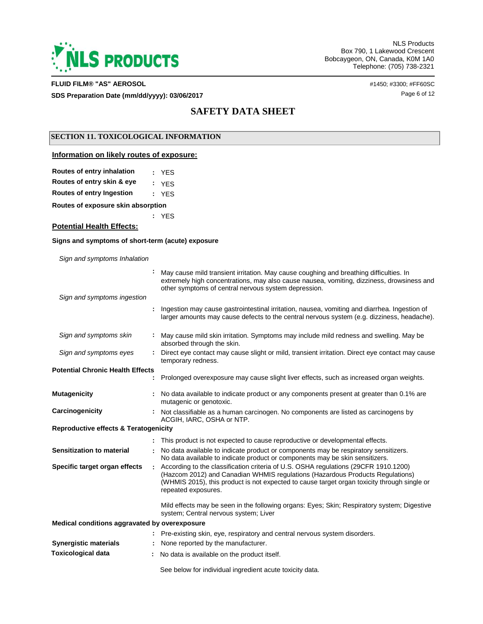

### **FLUID FILM® "AS" AEROSOL** #1450; #3300; #FF60SC

**SDS Preparation Date (mm/dd/yyyy): 03/06/2017 Page 6 of 12 Page 6 of 12** 

# **SAFETY DATA SHEET**

### **SECTION 11. TOXICOLOGICAL INFORMATION**

### **Information on likely routes of exposure:**

| Routes of entry inhalation       | : YES |
|----------------------------------|-------|
| Routes of entry skin & eye       | : YES |
| <b>Routes of entry Ingestion</b> | : YES |

**Routes of exposure skin absorption**

**:** YES

### **Potential Health Effects:**

### **Signs and symptoms of short-term (acute) exposure**

*Sign and symptoms Inhalation*

|                                                  | May cause mild transient irritation. May cause coughing and breathing difficulties. In<br>extremely high concentrations, may also cause nausea, vomiting, dizziness, drowsiness and<br>other symptoms of central nervous system depression.                                                |
|--------------------------------------------------|--------------------------------------------------------------------------------------------------------------------------------------------------------------------------------------------------------------------------------------------------------------------------------------------|
| Sign and symptoms ingestion                      |                                                                                                                                                                                                                                                                                            |
|                                                  | Ingestion may cause gastrointestinal irritation, nausea, vomiting and diarrhea. Ingestion of<br>larger amounts may cause defects to the central nervous system (e.g. dizziness, headache).                                                                                                 |
| Sign and symptoms skin                           | May cause mild skin irritation. Symptoms may include mild redness and swelling. May be<br>absorbed through the skin.                                                                                                                                                                       |
| Sign and symptoms eyes                           | Direct eye contact may cause slight or mild, transient irritation. Direct eye contact may cause<br>temporary redness.                                                                                                                                                                      |
| <b>Potential Chronic Health Effects</b>          |                                                                                                                                                                                                                                                                                            |
|                                                  | Prolonged overexposure may cause slight liver effects, such as increased organ weights.                                                                                                                                                                                                    |
| <b>Mutagenicity</b>                              | No data available to indicate product or any components present at greater than 0.1% are<br>mutagenic or genotoxic.                                                                                                                                                                        |
| Carcinogenicity                                  | Not classifiable as a human carcinogen. No components are listed as carcinogens by<br>ACGIH, IARC, OSHA or NTP.                                                                                                                                                                            |
| <b>Reproductive effects &amp; Teratogenicity</b> |                                                                                                                                                                                                                                                                                            |
|                                                  | This product is not expected to cause reproductive or developmental effects.                                                                                                                                                                                                               |
| Sensitization to material                        | No data available to indicate product or components may be respiratory sensitizers.<br>No data available to indicate product or components may be skin sensitizers.                                                                                                                        |
| Specific target organ effects                    | According to the classification criteria of U.S. OSHA regulations (29CFR 1910.1200)<br>(Hazcom 2012) and Canadian WHMIS regulations (Hazardous Products Regulations)<br>(WHMIS 2015), this product is not expected to cause target organ toxicity through single or<br>repeated exposures. |
|                                                  | Mild effects may be seen in the following organs: Eyes; Skin; Respiratory system; Digestive<br>system; Central nervous system; Liver                                                                                                                                                       |
| Medical conditions aggravated by overexposure    |                                                                                                                                                                                                                                                                                            |
|                                                  | Pre-existing skin, eye, respiratory and central nervous system disorders.                                                                                                                                                                                                                  |
| <b>Synergistic materials</b>                     | None reported by the manufacturer.                                                                                                                                                                                                                                                         |
| <b>Toxicological data</b>                        | No data is available on the product itself.                                                                                                                                                                                                                                                |
|                                                  | See below for individual ingredient acute toxicity data.                                                                                                                                                                                                                                   |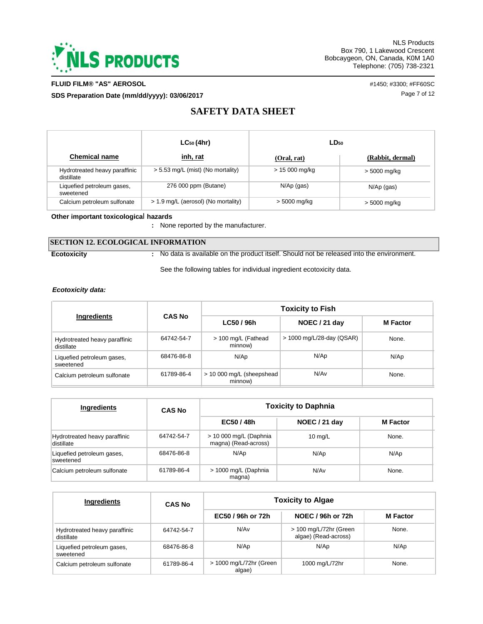

### **FLUID FILM® "AS" AEROSOL** #1450; #3300; #FF60SC

**SDS Preparation Date (mm/dd/yyyy): 03/06/2017 Discription of the USS Preparation Date (mm/dd/yyyy): 03/06/2017** 

# **SAFETY DATA SHEET**

|                                             | $LC_{50}(4hr)$                      | $LD_{50}$       |                  |
|---------------------------------------------|-------------------------------------|-----------------|------------------|
| <b>Chemical name</b>                        | inh, rat                            | (Oral, rat)     | (Rabbit, dermal) |
| Hydrotreated heavy paraffinic<br>distillate | > 5.53 mg/L (mist) (No mortality)   | $> 15000$ mg/kg | > 5000 mg/kg     |
| Liquefied petroleum gases,<br>sweetened     | 276 000 ppm (Butane)                | N/Ap (gas)      | $N/Ap$ (gas)     |
| Calcium petroleum sulfonate                 | > 1.9 mg/L (aerosol) (No mortality) | > 5000 mg/kg    | > 5000 mg/kg     |

**Other important toxicologica**l **hazards**

**:** None reported by the manufacturer.

### **SECTION 12. ECOLOGICAL INFORMATION**

No data is available on the product itself. Should not be released into the environment.

See the following tables for individual ingredient ecotoxicity data.

### *Ecotoxicity data:*

**Ecotoxicity :**

|                                             |               | <b>Toxicity to Fish</b>              |                             |                 |  |  |  |
|---------------------------------------------|---------------|--------------------------------------|-----------------------------|-----------------|--|--|--|
| <b>Ingredients</b>                          | <b>CAS No</b> | LC50 / 96h                           | NOEC / 21 day               | <b>M</b> Factor |  |  |  |
| Hydrotreated heavy paraffinic<br>distillate | 64742-54-7    | > 100 mg/L (Fathead<br>minnow)       | $>$ 1000 mg/L/28-day (QSAR) | None.           |  |  |  |
| Liquefied petroleum gases,<br>sweetened     | 68476-86-8    | N/Ap                                 | N/Ap                        | N/Ap            |  |  |  |
| Calcium petroleum sulfonate                 | 61789-86-4    | > 10 000 mg/L (sheepshead<br>minnow) | N/Av                        | None.           |  |  |  |

| Ingredients                                 | <b>CAS No</b> | <b>Toxicity to Daphnia</b>                      |                   |                 |  |  |
|---------------------------------------------|---------------|-------------------------------------------------|-------------------|-----------------|--|--|
|                                             |               | EC50 / 48h                                      | NOEC / 21 day     | <b>M</b> Factor |  |  |
| Hydrotreated heavy paraffinic<br>distillate | 64742-54-7    | $> 10000$ mg/L (Daphnia<br>magna) (Read-across) | $10 \text{ mg/L}$ | None.           |  |  |
| Liquefied petroleum gases,<br>sweetened     | 68476-86-8    | N/Ap                                            | N/Ap              | N/Ap            |  |  |
| Calcium petroleum sulfonate                 | 61789-86-4    | > 1000 mg/L (Daphnia<br>magna)                  | N/Av              | None.           |  |  |

| <b>Ingredients</b>                          | <b>CAS No</b> | <b>Toxicity to Algae</b>          |                                                |                 |  |  |
|---------------------------------------------|---------------|-----------------------------------|------------------------------------------------|-----------------|--|--|
|                                             |               | EC50 / 96h or 72h                 | NOEC / 96h or 72h                              | <b>M</b> Factor |  |  |
| Hydrotreated heavy paraffinic<br>distillate | 64742-54-7    | N/Av                              | > 100 mg/L/72hr (Green<br>algae) (Read-across) | None.           |  |  |
| Liquefied petroleum gases,<br>sweetened     | 68476-86-8    | N/Ap                              | N/Ap                                           | N/Ap            |  |  |
| Calcium petroleum sulfonate                 | 61789-86-4    | > 1000 mg/L/72hr (Green<br>algae) | 1000 mg/L/72hr                                 | None.           |  |  |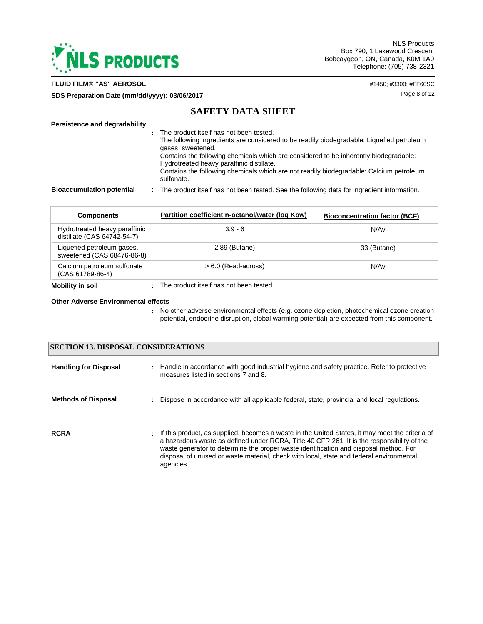

**FLUID FILM® "AS" AEROSOL** #1450; #3300; #FF60SC

**SDS Preparation Date (mm/dd/yyyy): 03/06/2017 Page 8 of 12** 

# **SAFETY DATA SHEET**

### **Persistence and degradability**

| The product itself has not been tested.                                                   |
|-------------------------------------------------------------------------------------------|
| The following ingredients are considered to be readily biodegradable: Liquefied petroleum |
| gases, sweetened.                                                                         |
| Contains the following chemicals which are considered to be inherently biodegradable:     |
| Hydrotreated heavy paraffinic distillate.                                                 |
| Contains the following chemicals which are not readily biodegradable: Calcium petroleum   |
| sulfonate.                                                                                |

**Bioaccumulation potential :** The product itself has not been tested. See the following data for ingredient information.

| <b>Components</b>                                            | Partition coefficient n-octanol/water (log Kow) | <b>Bioconcentration factor (BCF)</b> |
|--------------------------------------------------------------|-------------------------------------------------|--------------------------------------|
| Hydrotreated heavy paraffinic<br>distillate (CAS 64742-54-7) | $3.9 - 6$                                       | N/Av                                 |
| Liquefied petroleum gases,<br>sweetened (CAS 68476-86-8)     | 2.89 (Butane)                                   | 33 (Butane)                          |
| Calcium petroleum sulfonate<br>(CAS 61789-86-4)              | $> 6.0$ (Read-across)                           | N/Av                                 |
| Mobility in soil                                             | : The product itself has not been tested.       |                                      |

#### **Other Adverse Environmental effects**

No other adverse environmental effects (e.g. ozone depletion, photochemical ozone creation **:** potential, endocrine disruption, global warming potential) are expected from this component.

|                              | <b>SECTION 13. DISPOSAL CONSIDERATIONS</b>                                                                                                                                                                                                                                                                                                                                                       |  |  |  |  |  |  |
|------------------------------|--------------------------------------------------------------------------------------------------------------------------------------------------------------------------------------------------------------------------------------------------------------------------------------------------------------------------------------------------------------------------------------------------|--|--|--|--|--|--|
| <b>Handling for Disposal</b> | : Handle in accordance with good industrial hygiene and safety practice. Refer to protective<br>measures listed in sections 7 and 8.                                                                                                                                                                                                                                                             |  |  |  |  |  |  |
| <b>Methods of Disposal</b>   | : Dispose in accordance with all applicable federal, state, provincial and local regulations.                                                                                                                                                                                                                                                                                                    |  |  |  |  |  |  |
| <b>RCRA</b>                  | : If this product, as supplied, becomes a waste in the United States, it may meet the criteria of<br>a hazardous waste as defined under RCRA, Title 40 CFR 261. It is the responsibility of the<br>waste generator to determine the proper waste identification and disposal method. For<br>disposal of unused or waste material, check with local, state and federal environmental<br>agencies. |  |  |  |  |  |  |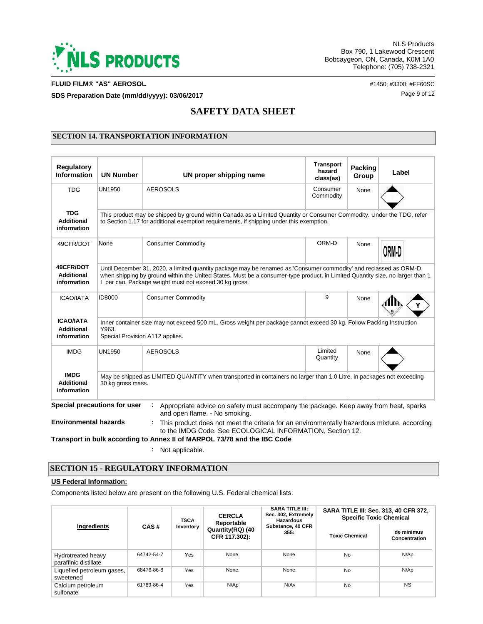

**FLUID FILM® "AS" AEROSOL** #1450; #3300; #FF60SC

**SDS Preparation Date (mm/dd/yyyy): 03/06/2017 Page 9 of 12** 

# **SAFETY DATA SHEET**

### **SECTION 14. TRANSPORTATION INFORMATION**

| <b>Regulatory</b><br><b>Information</b>                                                                                                                                                                                                                                                                                                                 | <b>UN Number</b>                                                                                                                                                 | UN proper shipping name                                                                                                                                  | <b>Transport</b><br>hazard<br>class(es) | Packing<br>Group | Label |  |  |  |
|---------------------------------------------------------------------------------------------------------------------------------------------------------------------------------------------------------------------------------------------------------------------------------------------------------------------------------------------------------|------------------------------------------------------------------------------------------------------------------------------------------------------------------|----------------------------------------------------------------------------------------------------------------------------------------------------------|-----------------------------------------|------------------|-------|--|--|--|
| <b>TDG</b>                                                                                                                                                                                                                                                                                                                                              | UN1950                                                                                                                                                           | <b>AEROSOLS</b>                                                                                                                                          | Consumer<br>Commodity                   | None             |       |  |  |  |
| <b>TDG</b><br>This product may be shipped by ground within Canada as a Limited Quantity or Consumer Commodity. Under the TDG, refer<br><b>Additional</b><br>to Section 1.17 for additional exemption requirements, if shipping under this exemption.<br>information                                                                                     |                                                                                                                                                                  |                                                                                                                                                          |                                         |                  |       |  |  |  |
| 49CFR/DOT                                                                                                                                                                                                                                                                                                                                               | None                                                                                                                                                             | <b>Consumer Commodity</b>                                                                                                                                | ORM-D                                   | None             | ORM-D |  |  |  |
| 49CFR/DOT<br>Until December 31, 2020, a limited quantity package may be renamed as 'Consumer commodity' and reclassed as ORM-D,<br>Additional<br>when shipping by ground within the United States. Must be a consumer-type product, in Limited Quantity size, no larger than 1<br>information<br>L per can. Package weight must not exceed 30 kg gross. |                                                                                                                                                                  |                                                                                                                                                          |                                         |                  |       |  |  |  |
| <b>ICAO/IATA</b>                                                                                                                                                                                                                                                                                                                                        | ID8000                                                                                                                                                           | <b>Consumer Commodity</b>                                                                                                                                | 9                                       | None             |       |  |  |  |
| <b>ICAO/IATA</b><br>Additional<br>information                                                                                                                                                                                                                                                                                                           | Inner container size may not exceed 500 mL. Gross weight per package cannot exceed 30 kg. Follow Packing Instruction<br>Y963.<br>Special Provision A112 applies. |                                                                                                                                                          |                                         |                  |       |  |  |  |
| <b>IMDG</b>                                                                                                                                                                                                                                                                                                                                             | UN1950                                                                                                                                                           | <b>AEROSOLS</b>                                                                                                                                          | Limited<br>Quantity                     | None             |       |  |  |  |
| <b>IMDG</b><br><b>Additional</b><br>information                                                                                                                                                                                                                                                                                                         | 30 kg gross mass.                                                                                                                                                | May be shipped as LIMITED QUANTITY when transported in containers no larger than 1.0 Litre, in packages not exceeding                                    |                                         |                  |       |  |  |  |
|                                                                                                                                                                                                                                                                                                                                                         | Special precautions for user                                                                                                                                     | Appropriate advice on safety must accompany the package. Keep away from heat, sparks<br>and open flame. - No smoking.                                    |                                         |                  |       |  |  |  |
| <b>Environmental hazards</b>                                                                                                                                                                                                                                                                                                                            |                                                                                                                                                                  | This product does not meet the criteria for an environmentally hazardous mixture, according<br>to the IMDG Code. See ECOLOGICAL INFORMATION, Section 12. |                                         |                  |       |  |  |  |
|                                                                                                                                                                                                                                                                                                                                                         |                                                                                                                                                                  | Transport in bulk according to Annex II of MARPOL 73/78 and the IBC Code                                                                                 |                                         |                  |       |  |  |  |

**:** Not applicable.

# **SECTION 15 - REGULATORY INFORMATION**

### **US Federal Information:**

Components listed below are present on the following U.S. Federal chemical lists:

|                                             |            | <b>TSCA</b> | <b>CERCLA</b><br>Reportable       | <b>SARA TITLE III:</b><br>Sec. 302, Extremely<br><b>Hazardous</b> | <b>SARA TITLE III: Sec. 313, 40 CFR 372,</b><br><b>Specific Toxic Chemical</b> |                             |  |
|---------------------------------------------|------------|-------------|-----------------------------------|-------------------------------------------------------------------|--------------------------------------------------------------------------------|-----------------------------|--|
| Ingredients<br>CAS#                         |            | Inventory   | Quantity(RQ) (40<br>CFR 117.302): | Substance, 40 CFR<br>355.                                         | <b>Toxic Chemical</b>                                                          | de minimus<br>Concentration |  |
| Hydrotreated heavy<br>paraffinic distillate | 64742-54-7 | Yes         | None.                             | None.                                                             | <b>No</b>                                                                      | N/Ap                        |  |
| Liquefied petroleum gases,<br>sweetened     | 68476-86-8 | Yes         | None.                             | None.                                                             | No                                                                             | N/AD                        |  |
| Calcium petroleum<br>sulfonate              | 61789-86-4 | Yes         | N/Ap                              | N/A <sub>v</sub>                                                  | <b>No</b>                                                                      | <b>NS</b>                   |  |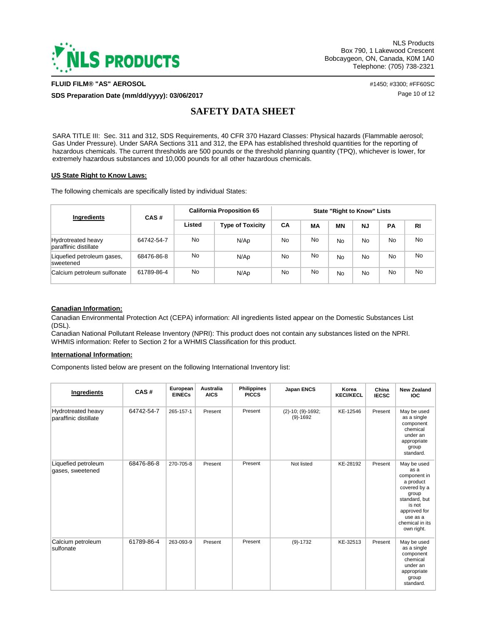

**FLUID FILM® "AS" AEROSOL** #1450; #3300; #FF60SC

**SDS Preparation Date (mm/dd/yyyy): 03/06/2017 Page 10 of 12 Page 10 of 12** 

# **SAFETY DATA SHEET**

SARA TITLE III: Sec. 311 and 312, SDS Requirements, 40 CFR 370 Hazard Classes: Physical hazards (Flammable aerosol; Gas Under Pressure). Under SARA Sections 311 and 312, the EPA has established threshold quantities for the reporting of hazardous chemicals. The current thresholds are 500 pounds or the threshold planning quantity (TPQ), whichever is lower, for extremely hazardous substances and 10,000 pounds for all other hazardous chemicals.

### **US State Right to Know Laws:**

The following chemicals are specifically listed by individual States:

| Ingredients                                        | CAS#       | <b>California Proposition 65</b> |                         | <b>State "Right to Know" Lists</b> |    |    |     |           |           |
|----------------------------------------------------|------------|----------------------------------|-------------------------|------------------------------------|----|----|-----|-----------|-----------|
|                                                    |            | Listed                           | <b>Type of Toxicity</b> | <b>CA</b>                          | МA | MΝ | NJ  | <b>PA</b> | RI        |
| <b>Hydrotreated heavy</b><br>paraffinic distillate | 64742-54-7 | No                               | N/Ap                    | <b>No</b>                          | No | No | No  | No        | <b>No</b> |
| Liquefied petroleum gases,<br>sweetened            | 68476-86-8 | <b>No</b>                        | N/Ap                    | <b>No</b>                          | No | No | No  | No        | <b>No</b> |
| Calcium petroleum sulfonate                        | 61789-86-4 | <b>No</b>                        | N/Ap                    | <b>No</b>                          | No | No | No. | No        | <b>No</b> |

### **Canadian Information:**

Canadian Environmental Protection Act (CEPA) information: All ingredients listed appear on the Domestic Substances List (DSL).

Canadian National Pollutant Release Inventory (NPRI): This product does not contain any substances listed on the NPRI. WHMIS information: Refer to Section 2 for a WHMIS Classification for this product.

#### **International Information:**

Components listed below are present on the following International Inventory list:

| Ingredients                                 | CAS#       | European<br><b>EINECs</b> | Australia<br><b>AICS</b> | <b>Philippines</b><br><b>PICCS</b> | Japan ENCS                            | Korea<br><b>KECI/KECL</b> | China<br><b>IECSC</b> | <b>New Zealand</b><br><b>IOC</b>                                                                                                                                  |
|---------------------------------------------|------------|---------------------------|--------------------------|------------------------------------|---------------------------------------|---------------------------|-----------------------|-------------------------------------------------------------------------------------------------------------------------------------------------------------------|
| Hydrotreated heavy<br>paraffinic distillate | 64742-54-7 | 265-157-1                 | Present                  | Present                            | $(2)-10$ ; $(9)-1692$ ;<br>$(9)-1692$ | KE-12546                  | Present               | May be used<br>as a single<br>component<br>chemical<br>under an<br>appropriate<br>group<br>standard.                                                              |
| Liquefied petroleum<br>gases, sweetened     | 68476-86-8 | 270-705-8                 | Present                  | Present                            | Not listed                            | KE-28192                  | Present               | May be used<br>as a<br>component in<br>a product<br>covered by a<br>group<br>standard, but<br>is not<br>approved for<br>use as a<br>chemical in its<br>own right. |
| Calcium petroleum<br>sulfonate              | 61789-86-4 | 263-093-9                 | Present                  | Present                            | $(9)-1732$                            | KE-32513                  | Present               | May be used<br>as a single<br>component<br>chemical<br>under an<br>appropriate<br>group<br>standard.                                                              |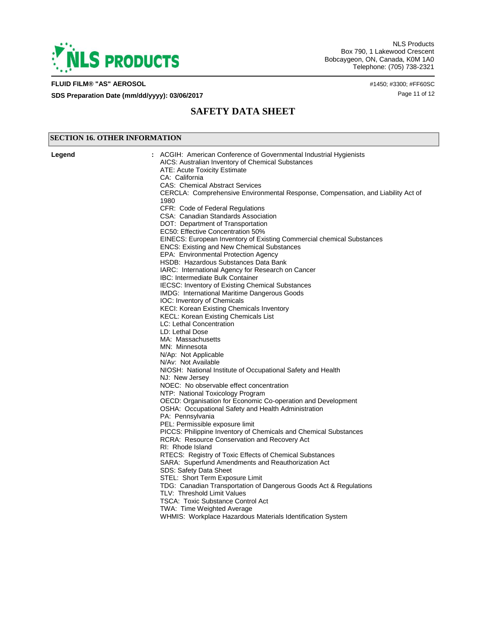

**SECTION 16. OTHER INFORMATION**

NLS Products Box 790, 1 Lakewood Crescent Bobcaygeon, ON, Canada, K0M 1A0 Telephone: (705) 738-2321

### **FLUID FILM® "AS" AEROSOL** #1450; #3300; #FF60SC

**SDS Preparation Date (mm/dd/yyyy): 03/06/2017 Page 11 of 12** Page 11 of 12

# **SAFETY DATA SHEET**

| Legend | : ACGIH: American Conference of Governmental Industrial Hygienists               |  |  |  |  |  |  |
|--------|----------------------------------------------------------------------------------|--|--|--|--|--|--|
|        | AICS: Australian Inventory of Chemical Substances                                |  |  |  |  |  |  |
|        | ATE: Acute Toxicity Estimate                                                     |  |  |  |  |  |  |
|        | CA: California                                                                   |  |  |  |  |  |  |
|        | <b>CAS: Chemical Abstract Services</b>                                           |  |  |  |  |  |  |
|        | CERCLA: Comprehensive Environmental Response, Compensation, and Liability Act of |  |  |  |  |  |  |
|        | 1980                                                                             |  |  |  |  |  |  |
|        | CFR: Code of Federal Regulations                                                 |  |  |  |  |  |  |
|        | CSA: Canadian Standards Association                                              |  |  |  |  |  |  |
|        | DOT: Department of Transportation                                                |  |  |  |  |  |  |
|        | EC50: Effective Concentration 50%                                                |  |  |  |  |  |  |
|        | EINECS: European Inventory of Existing Commercial chemical Substances            |  |  |  |  |  |  |
|        | <b>ENCS: Existing and New Chemical Substances</b>                                |  |  |  |  |  |  |
|        | EPA: Environmental Protection Agency                                             |  |  |  |  |  |  |
|        | HSDB: Hazardous Substances Data Bank                                             |  |  |  |  |  |  |
|        | IARC: International Agency for Research on Cancer                                |  |  |  |  |  |  |
|        | <b>IBC: Intermediate Bulk Container</b>                                          |  |  |  |  |  |  |
|        | <b>IECSC: Inventory of Existing Chemical Substances</b>                          |  |  |  |  |  |  |
|        | IMDG: International Maritime Dangerous Goods                                     |  |  |  |  |  |  |
|        | IOC: Inventory of Chemicals                                                      |  |  |  |  |  |  |
|        | KECI: Korean Existing Chemicals Inventory                                        |  |  |  |  |  |  |
|        | <b>KECL: Korean Existing Chemicals List</b><br>LC: Lethal Concentration          |  |  |  |  |  |  |
|        | LD: Lethal Dose                                                                  |  |  |  |  |  |  |
|        |                                                                                  |  |  |  |  |  |  |
|        | MA: Massachusetts                                                                |  |  |  |  |  |  |
|        | MN: Minnesota                                                                    |  |  |  |  |  |  |
|        | N/Ap: Not Applicable<br>N/Av: Not Available                                      |  |  |  |  |  |  |
|        | NIOSH: National Institute of Occupational Safety and Health                      |  |  |  |  |  |  |
|        | NJ: New Jersey                                                                   |  |  |  |  |  |  |
|        | NOEC: No observable effect concentration                                         |  |  |  |  |  |  |
|        | NTP: National Toxicology Program                                                 |  |  |  |  |  |  |
|        | OECD: Organisation for Economic Co-operation and Development                     |  |  |  |  |  |  |
|        | OSHA: Occupational Safety and Health Administration                              |  |  |  |  |  |  |
|        | PA: Pennsylvania                                                                 |  |  |  |  |  |  |
|        | PEL: Permissible exposure limit                                                  |  |  |  |  |  |  |
|        | PICCS: Philippine Inventory of Chemicals and Chemical Substances                 |  |  |  |  |  |  |
|        | RCRA: Resource Conservation and Recovery Act                                     |  |  |  |  |  |  |
|        | RI: Rhode Island                                                                 |  |  |  |  |  |  |
|        | RTECS: Registry of Toxic Effects of Chemical Substances                          |  |  |  |  |  |  |
|        | SARA: Superfund Amendments and Reauthorization Act                               |  |  |  |  |  |  |
|        | SDS: Safety Data Sheet                                                           |  |  |  |  |  |  |
|        | STEL: Short Term Exposure Limit                                                  |  |  |  |  |  |  |
|        | TDG: Canadian Transportation of Dangerous Goods Act & Regulations                |  |  |  |  |  |  |
|        | TLV: Threshold Limit Values                                                      |  |  |  |  |  |  |
|        | <b>TSCA: Toxic Substance Control Act</b>                                         |  |  |  |  |  |  |
|        | TWA: Time Weighted Average                                                       |  |  |  |  |  |  |
|        | WHMIS: Workplace Hazardous Materials Identification System                       |  |  |  |  |  |  |
|        |                                                                                  |  |  |  |  |  |  |